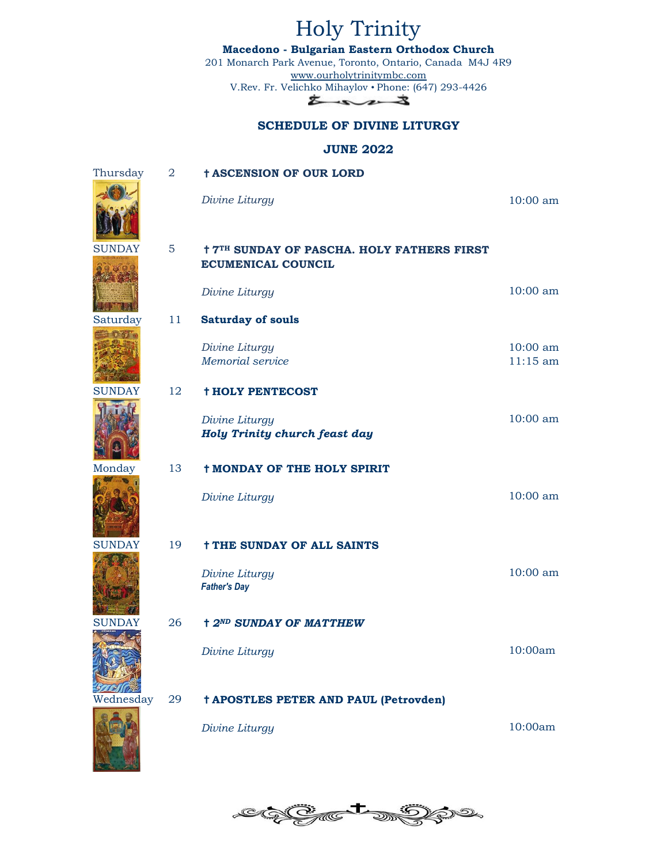Holy Trinity **Macedono - Bulgarian Eastern Orthodox Church** 201 Monarch Park Avenue, Toronto, Ontario, Canada M4J 4R9 [www.ourholytrinitymbc.com](http://www.ourholytrinitymbc.com/) V.Rev. Fr. Velichko Mihaylov • Phone: (647) 293-4426  $z \sim 3$ **SCHEDULE OF DIVINE LITURGY JUNE 2022** Thursday 2 ✝**ASCENSION OF OUR LORD** *Divine Liturgy* 10:00 am

## SUNDAY 5  $\dagger$  **7<sup>TH</sup> SUNDAY OF PASCHA. HOLY FATHERS FIRST ECUMENICAL COUNCIL**

*Divine Liturgy* 10:00 am Saturday 11 **Saturday of souls**

> *Divine Liturgy Memorial service* 10:00 am 11:15 am

### SUNDAY 12 **†HOLY PENTECOST**

*Divine Liturgy Holy Trinity church feast day* 

#### Monday 13 **† MONDAY OF THE HOLY SPIRIT**

*Divine Liturgy* 10:00 am

#### SUNDAY 19 **† THE SUNDAY OF ALL SAINTS**

*Divine Liturgy Father's Day* 10:00 am

#### SUNDAY 26 **† 2<sup>ND</sup> SUNDAY OF MATTHEW**

*Divine Liturgy* 10:00am

10:00 am

#### Wednesday 29 ✝**APOSTLES PETER AND PAUL (Petrovden)**



OaT

*Divine Liturgy* 10:00am